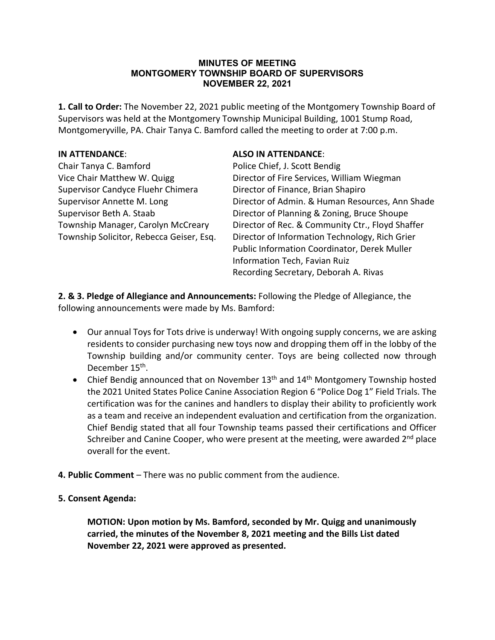#### **MINUTES OF MEETING MONTGOMERY TOWNSHIP BOARD OF SUPERVISORS NOVEMBER 22, 2021**

**1. Call to Order:** The November 22, 2021 public meeting of the Montgomery Township Board of Supervisors was held at the Montgomery Township Municipal Building, 1001 Stump Road, Montgomeryville, PA. Chair Tanya C. Bamford called the meeting to order at 7:00 p.m.

Chair Tanya C. Bamford Police Chief, J. Scott Bendig Supervisor Candyce Fluehr Chimera Director of Finance, Brian Shapiro

#### **IN ATTENDANCE**: **ALSO IN ATTENDANCE**:

Vice Chair Matthew W. Quigg Director of Fire Services, William Wiegman Supervisor Annette M. Long Director of Admin. & Human Resources, Ann Shade Supervisor Beth A. Staab **Director of Planning & Zoning, Bruce Shoupe** Township Manager, Carolyn McCreary Director of Rec. & Community Ctr., Floyd Shaffer Township Solicitor, Rebecca Geiser, Esq. Director of Information Technology, Rich Grier Public Information Coordinator, Derek Muller Information Tech, Favian Ruiz Recording Secretary, Deborah A. Rivas

**2. & 3. Pledge of Allegiance and Announcements:** Following the Pledge of Allegiance, the following announcements were made by Ms. Bamford:

- Our annual Toys for Tots drive is underway! With ongoing supply concerns, we are asking residents to consider purchasing new toys now and dropping them off in the lobby of the Township building and/or community center. Toys are being collected now through December 15<sup>th</sup>.
- Chief Bendig announced that on November  $13<sup>th</sup>$  and  $14<sup>th</sup>$  Montgomery Township hosted the 2021 United States Police Canine Association Region 6 "Police Dog 1" Field Trials. The certification was for the canines and handlers to display their ability to proficiently work as a team and receive an independent evaluation and certification from the organization. Chief Bendig stated that all four Township teams passed their certifications and Officer Schreiber and Canine Cooper, who were present at the meeting, were awarded  $2<sup>nd</sup>$  place overall for the event.
- **4. Public Comment** There was no public comment from the audience.

# **5. Consent Agenda:**

**MOTION: Upon motion by Ms. Bamford, seconded by Mr. Quigg and unanimously carried, the minutes of the November 8, 2021 meeting and the Bills List dated November 22, 2021 were approved as presented.**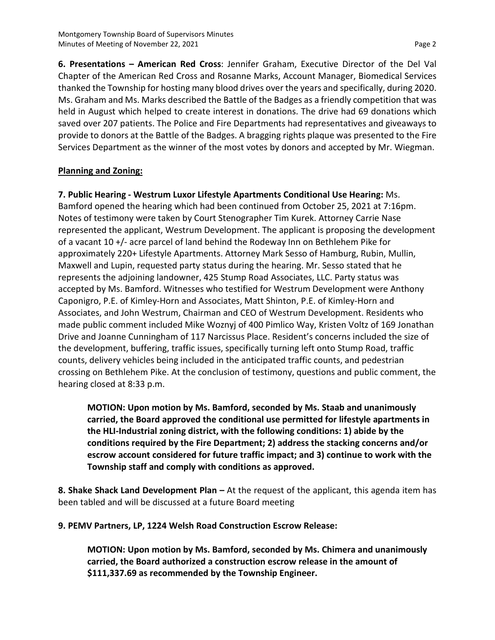**6. Presentations – American Red Cross**: Jennifer Graham, Executive Director of the Del Val Chapter of the American Red Cross and Rosanne Marks, Account Manager, Biomedical Services thanked the Township for hosting many blood drives over the years and specifically, during 2020. Ms. Graham and Ms. Marks described the Battle of the Badges as a friendly competition that was held in August which helped to create interest in donations. The drive had 69 donations which saved over 207 patients. The Police and Fire Departments had representatives and giveaways to provide to donors at the Battle of the Badges. A bragging rights plaque was presented to the Fire Services Department as the winner of the most votes by donors and accepted by Mr. Wiegman.

# **Planning and Zoning:**

**7. Public Hearing - Westrum Luxor Lifestyle Apartments Conditional Use Hearing:** Ms. Bamford opened the hearing which had been continued from October 25, 2021 at 7:16pm. Notes of testimony were taken by Court Stenographer Tim Kurek. Attorney Carrie Nase represented the applicant, Westrum Development. The applicant is proposing the development of a vacant 10 +/- acre parcel of land behind the Rodeway Inn on Bethlehem Pike for approximately 220+ Lifestyle Apartments. Attorney Mark Sesso of Hamburg, Rubin, Mullin, Maxwell and Lupin, requested party status during the hearing. Mr. Sesso stated that he represents the adjoining landowner, 425 Stump Road Associates, LLC. Party status was accepted by Ms. Bamford. Witnesses who testified for Westrum Development were Anthony Caponigro, P.E. of Kimley-Horn and Associates, Matt Shinton, P.E. of Kimley-Horn and Associates, and John Westrum, Chairman and CEO of Westrum Development. Residents who made public comment included Mike Woznyj of 400 Pimlico Way, Kristen Voltz of 169 Jonathan Drive and Joanne Cunningham of 117 Narcissus Place. Resident's concerns included the size of the development, buffering, traffic issues, specifically turning left onto Stump Road, traffic counts, delivery vehicles being included in the anticipated traffic counts, and pedestrian crossing on Bethlehem Pike. At the conclusion of testimony, questions and public comment, the hearing closed at 8:33 p.m.

**MOTION: Upon motion by Ms. Bamford, seconded by Ms. Staab and unanimously carried, the Board approved the conditional use permitted for lifestyle apartments in the HLI-Industrial zoning district, with the following conditions: 1) abide by the conditions required by the Fire Department; 2) address the stacking concerns and/or escrow account considered for future traffic impact; and 3) continue to work with the Township staff and comply with conditions as approved.**

**8. Shake Shack Land Development Plan –** At the request of the applicant, this agenda item has been tabled and will be discussed at a future Board meeting

**9. PEMV Partners, LP, 1224 Welsh Road Construction Escrow Release:**

**MOTION: Upon motion by Ms. Bamford, seconded by Ms. Chimera and unanimously carried, the Board authorized a construction escrow release in the amount of \$111,337.69 as recommended by the Township Engineer.**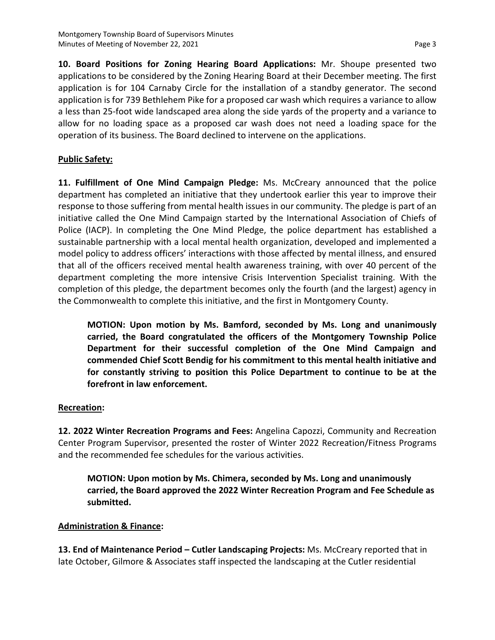**10. Board Positions for Zoning Hearing Board Applications:** Mr. Shoupe presented two applications to be considered by the Zoning Hearing Board at their December meeting. The first application is for 104 Carnaby Circle for the installation of a standby generator. The second application is for 739 Bethlehem Pike for a proposed car wash which requires a variance to allow a less than 25-foot wide landscaped area along the side yards of the property and a variance to allow for no loading space as a proposed car wash does not need a loading space for the operation of its business. The Board declined to intervene on the applications.

### **Public Safety:**

**11. Fulfillment of One Mind Campaign Pledge:** Ms. McCreary announced that the police department has completed an initiative that they undertook earlier this year to improve their response to those suffering from mental health issues in our community. The pledge is part of an initiative called the One Mind Campaign started by the International Association of Chiefs of Police (IACP). In completing the One Mind Pledge, the police department has established a sustainable partnership with a local mental health organization, developed and implemented a model policy to address officers' interactions with those affected by mental illness, and ensured that all of the officers received mental health awareness training, with over 40 percent of the department completing the more intensive Crisis Intervention Specialist training. With the completion of this pledge, the department becomes only the fourth (and the largest) agency in the Commonwealth to complete this initiative, and the first in Montgomery County.

**MOTION: Upon motion by Ms. Bamford, seconded by Ms. Long and unanimously carried, the Board congratulated the officers of the Montgomery Township Police Department for their successful completion of the One Mind Campaign and commended Chief Scott Bendig for his commitment to this mental health initiative and for constantly striving to position this Police Department to continue to be at the forefront in law enforcement.**

#### **Recreation:**

**12. 2022 Winter Recreation Programs and Fees:** Angelina Capozzi, Community and Recreation Center Program Supervisor, presented the roster of Winter 2022 Recreation/Fitness Programs and the recommended fee schedules for the various activities.

**MOTION: Upon motion by Ms. Chimera, seconded by Ms. Long and unanimously carried, the Board approved the 2022 Winter Recreation Program and Fee Schedule as submitted.**

# **Administration & Finance:**

**13. End of Maintenance Period – Cutler Landscaping Projects:** Ms. McCreary reported that in late October, Gilmore & Associates staff inspected the landscaping at the Cutler residential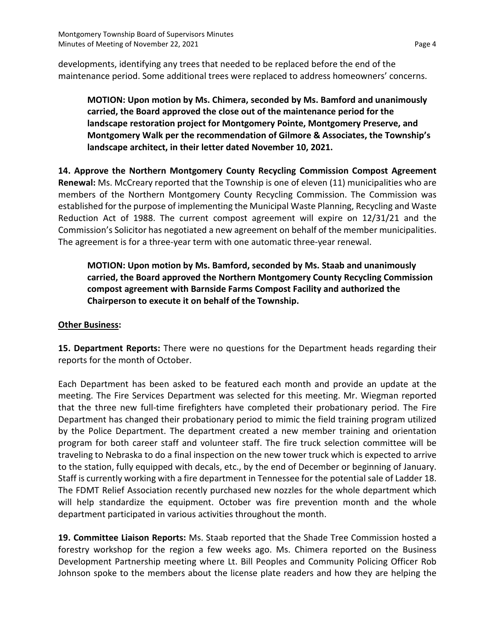developments, identifying any trees that needed to be replaced before the end of the maintenance period. Some additional trees were replaced to address homeowners' concerns.

**MOTION: Upon motion by Ms. Chimera, seconded by Ms. Bamford and unanimously carried, the Board approved the close out of the maintenance period for the landscape restoration project for Montgomery Pointe, Montgomery Preserve, and Montgomery Walk per the recommendation of Gilmore & Associates, the Township's landscape architect, in their letter dated November 10, 2021.**

**14. Approve the Northern Montgomery County Recycling Commission Compost Agreement Renewal:** Ms. McCreary reported that the Township is one of eleven (11) municipalities who are members of the Northern Montgomery County Recycling Commission. The Commission was established for the purpose of implementing the Municipal Waste Planning, Recycling and Waste Reduction Act of 1988. The current compost agreement will expire on 12/31/21 and the Commission's Solicitor has negotiated a new agreement on behalf of the member municipalities. The agreement is for a three-year term with one automatic three-year renewal.

**MOTION: Upon motion by Ms. Bamford, seconded by Ms. Staab and unanimously carried, the Board approved the Northern Montgomery County Recycling Commission compost agreement with Barnside Farms Compost Facility and authorized the Chairperson to execute it on behalf of the Township.**

### **Other Business:**

**15. Department Reports:** There were no questions for the Department heads regarding their reports for the month of October.

Each Department has been asked to be featured each month and provide an update at the meeting. The Fire Services Department was selected for this meeting. Mr. Wiegman reported that the three new full-time firefighters have completed their probationary period. The Fire Department has changed their probationary period to mimic the field training program utilized by the Police Department. The department created a new member training and orientation program for both career staff and volunteer staff. The fire truck selection committee will be traveling to Nebraska to do a final inspection on the new tower truck which is expected to arrive to the station, fully equipped with decals, etc., by the end of December or beginning of January. Staff is currently working with a fire department in Tennessee for the potential sale of Ladder 18. The FDMT Relief Association recently purchased new nozzles for the whole department which will help standardize the equipment. October was fire prevention month and the whole department participated in various activities throughout the month.

**19. Committee Liaison Reports:** Ms. Staab reported that the Shade Tree Commission hosted a forestry workshop for the region a few weeks ago. Ms. Chimera reported on the Business Development Partnership meeting where Lt. Bill Peoples and Community Policing Officer Rob Johnson spoke to the members about the license plate readers and how they are helping the